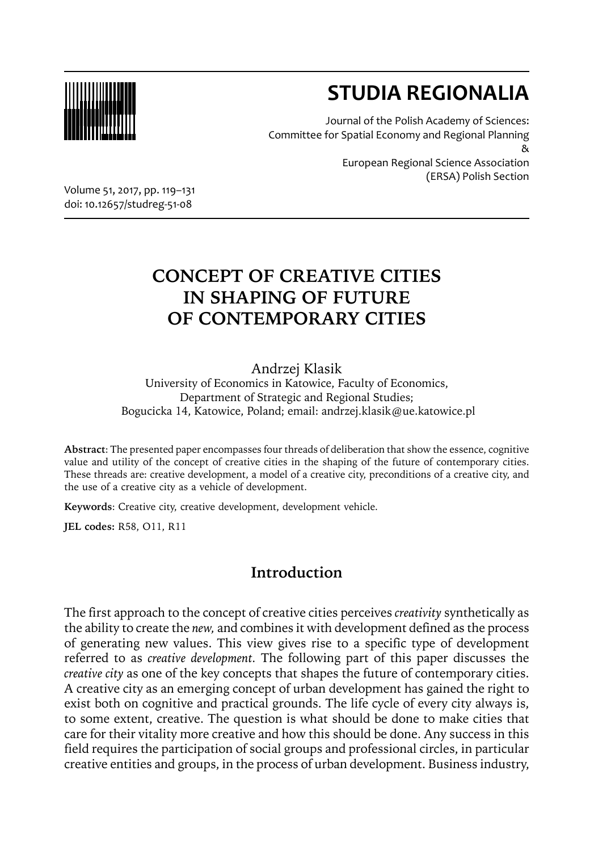

# **STUDIA REGIONALIA**

Journal of the Polish Academy of Sciences: Committee for Spatial Economy and Regional Planning &

European Regional Science Association (ERSA) Polish Section

Volume 51, 2017, pp. 119–131 doi: 10.12657/studreg-51-08

## **CONCEPT OF CREATIVE CITIES IN SHAPING OF FUTURE OF CONTEMPORARY CITIES**

#### Andrzej Klasik

University of Economics in Katowice, Faculty of Economics, Department of Strategic and Regional Studies; Bogucicka 14, Katowice, Poland; email: andrzej.klasik@ue.katowice.pl

**Abstract**: The presented paper encompasses four threads of deliberation that show the essence, cognitive value and utility of the concept of creative cities in the shaping of the future of contemporary cities. These threads are: creative development, a model of a creative city, preconditions of a creative city, and the use of a creative city as a vehicle of development.

**Keywords**: Creative city, creative development, development vehicle.

**JEL codes:** R58, O11, R11

## **Introduction**

The first approach to the concept of creative cities perceives *creativity* synthetically as the ability to create the *new,* and combines it with development defined as the process of generating new values. This view gives rise to a specific type of development referred to as *creative development.* The following part of this paper discusses the *creative city* as one of the key concepts that shapes the future of contemporary cities. A creative city as an emerging concept of urban development has gained the right to exist both on cognitive and practical grounds. The life cycle of every city always is, to some extent, creative. The question is what should be done to make cities that care for their vitality more creative and how this should be done. Any success in this field requires the participation of social groups and professional circles, in particular creative entities and groups, in the process of urban development. Business industry,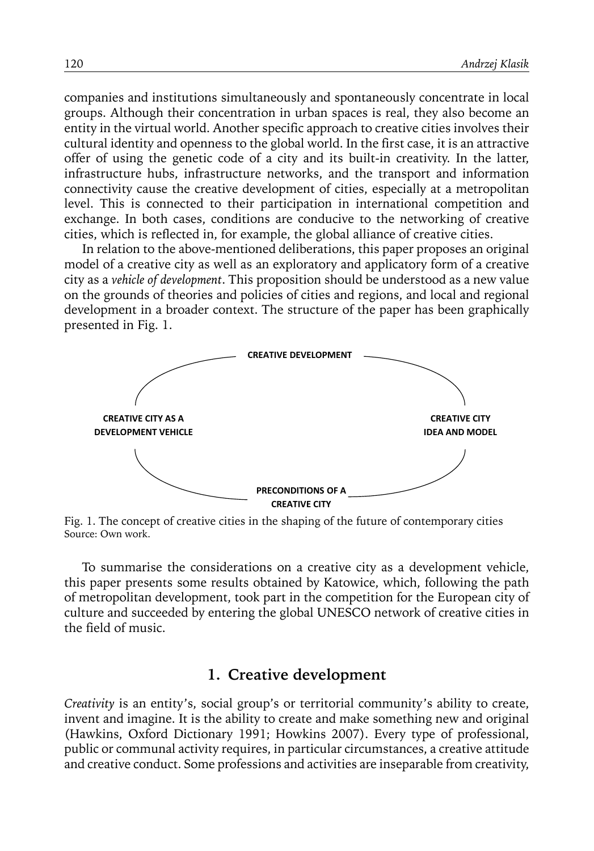companies and institutions simultaneously and spontaneously concentrate in local groups. Although their concentration in urban spaces is real, they also become an entity in the virtual world. Another specific approach to creative cities involves their cultural identity and openness to the global world. In the first case, it is an attractive offer of using the genetic code of a city and its built-in creativity. In the latter, infrastructure hubs, infrastructure networks, and the transport and information connectivity cause the creative development of cities, especially at a metropolitan level. This is connected to their participation in international competition and exchange. In both cases, conditions are conducive to the networking of creative cities, which is reflected in, for example, the global alliance of creative cities.

In relation to the above-mentioned deliberations, this paper proposes an original model of a creative city as well as an exploratory and applicatory form of a creative city as a *vehicle of development*. This proposition should be understood as a new value on the grounds of theories and policies of cities and regions, and local and regional development in a broader context. The structure of the paper has been graphically presented in Fig. 1.



Fig. 1. The concept of creative cities in the shaping of the future of contemporary cities Source: Own work.

To summarise the considerations on a creative city as a development vehicle, this paper presents some results obtained by Katowice, which, following the path of metropolitan development, took part in the competition for the European city of culture and succeeded by entering the global UNESCO network of creative cities in the field of music.

#### **1. Creative development**

*Creativity* is an entity's, social group's or territorial community's ability to create, invent and imagine. It is the ability to create and make something new and original (Hawkins, Oxford Dictionary 1991; Howkins 2007). Every type of professional, public or communal activity requires, in particular circumstances, a creative attitude and creative conduct. Some professions and activities are inseparable from creativity,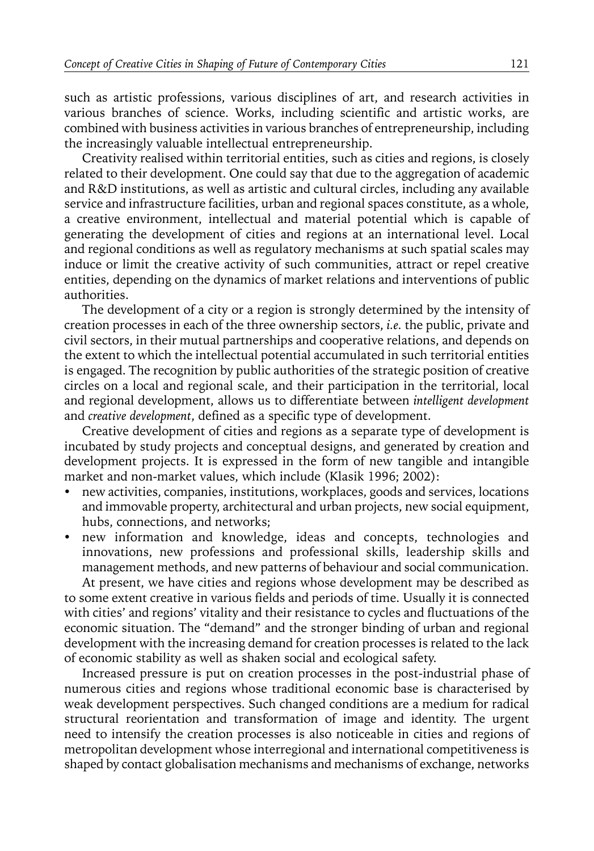such as artistic professions, various disciplines of art, and research activities in various branches of science. Works, including scientific and artistic works, are combined with business activities in various branches of entrepreneurship, including the increasingly valuable intellectual entrepreneurship.

Creativity realised within territorial entities, such as cities and regions, is closely related to their development. One could say that due to the aggregation of academic and R&D institutions, as well as artistic and cultural circles, including any available service and infrastructure facilities, urban and regional spaces constitute, as a whole, a creative environment, intellectual and material potential which is capable of generating the development of cities and regions at an international level. Local and regional conditions as well as regulatory mechanisms at such spatial scales may induce or limit the creative activity of such communities, attract or repel creative entities, depending on the dynamics of market relations and interventions of public authorities.

The development of a city or a region is strongly determined by the intensity of creation processes in each of the three ownership sectors, *i.e.* the public, private and civil sectors, in their mutual partnerships and cooperative relations, and depends on the extent to which the intellectual potential accumulated in such territorial entities is engaged. The recognition by public authorities of the strategic position of creative circles on a local and regional scale, and their participation in the territorial, local and regional development, allows us to differentiate between *intelligent development* and *creative development*, defined as a specific type of development.

Creative development of cities and regions as a separate type of development is incubated by study projects and conceptual designs, and generated by creation and development projects. It is expressed in the form of new tangible and intangible market and non-market values, which include (Klasik 1996; 2002):

- new activities, companies, institutions, workplaces, goods and services, locations and immovable property, architectural and urban projects, new social equipment, hubs, connections, and networks;
- new information and knowledge, ideas and concepts, technologies and innovations, new professions and professional skills, leadership skills and management methods, and new patterns of behaviour and social communication.

At present, we have cities and regions whose development may be described as to some extent creative in various fields and periods of time. Usually it is connected with cities' and regions' vitality and their resistance to cycles and fluctuations of the economic situation. The "demand" and the stronger binding of urban and regional development with the increasing demand for creation processes is related to the lack of economic stability as well as shaken social and ecological safety.

Increased pressure is put on creation processes in the post-industrial phase of numerous cities and regions whose traditional economic base is characterised by weak development perspectives. Such changed conditions are a medium for radical structural reorientation and transformation of image and identity. The urgent need to intensify the creation processes is also noticeable in cities and regions of metropolitan development whose interregional and international competitiveness is shaped by contact globalisation mechanisms and mechanisms of exchange, networks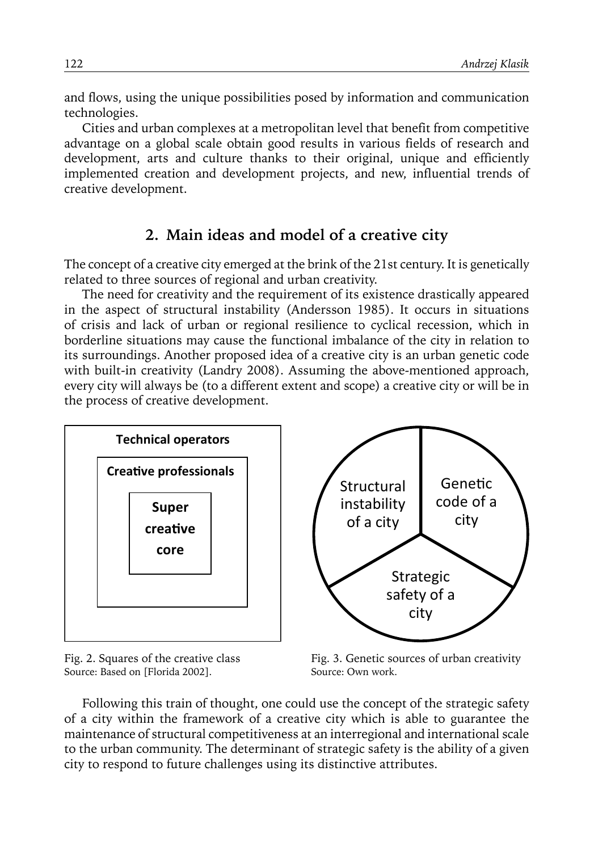and flows, using the unique possibilities posed by information and communication technologies.

Cities and urban complexes at a metropolitan level that benefit from competitive advantage on a global scale obtain good results in various fields of research and development, arts and culture thanks to their original, unique and efficiently implemented creation and development projects, and new, influential trends of creative development.

#### **2. Main ideas and model of a creative city**

The concept of a creative city emerged at the brink of the 21st century. It is genetically related to three sources of regional and urban creativity.

The need for creativity and the requirement of its existence drastically appeared in the aspect of structural instability (Andersson 1985). It occurs in situations of crisis and lack of urban or regional resilience to cyclical recession, which in borderline situations may cause the functional imbalance of the city in relation to its surroundings. Another proposed idea of a creative city is an urban genetic code with built-in creativity (Landry 2008). Assuming the above-mentioned approach, every city will always be (to a different extent and scope) a creative city or will be in the process of creative development.



Fig. 2. Squares of the creative class Source: Based on [Florida 2002].



Fig. 3. Genetic sources of urban creativity Source: Own work.

Following this train of thought, one could use the concept of the strategic safety of a city within the framework of a creative city which is able to guarantee the maintenance of structural competitiveness at an interregional and international scale to the urban community. The determinant of strategic safety is the ability of a given city to respond to future challenges using its distinctive attributes.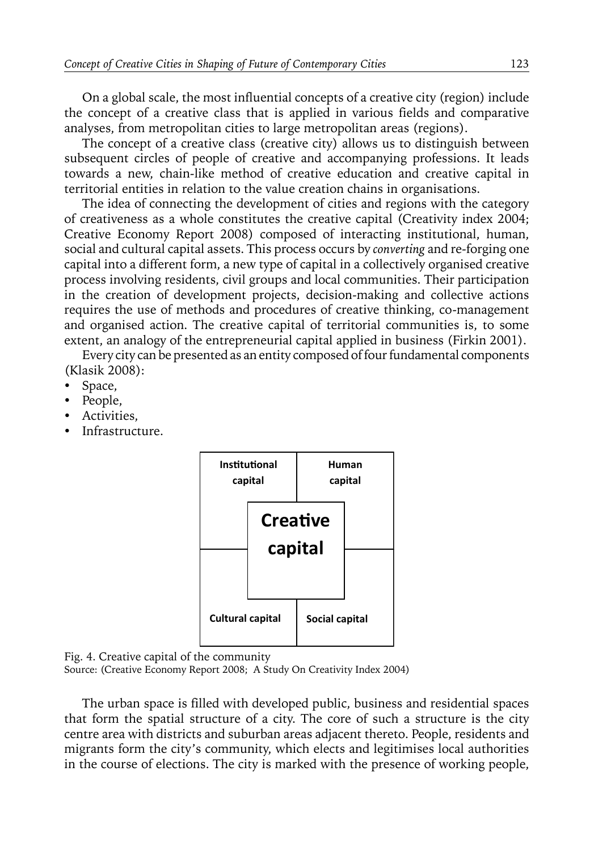On a global scale, the most influential concepts of a creative city (region) include the concept of a creative class that is applied in various fields and comparative analyses, from metropolitan cities to large metropolitan areas (regions).

The concept of a creative class (creative city) allows us to distinguish between subsequent circles of people of creative and accompanying professions. It leads towards a new, chain-like method of creative education and creative capital in territorial entities in relation to the value creation chains in organisations.

The idea of connecting the development of cities and regions with the category of creativeness as a whole constitutes the creative capital (Creativity index 2004; Creative Economy Report 2008) composed of interacting institutional, human, social and cultural capital assets. This process occurs by *converting* and re-forging one capital into a different form, a new type of capital in a collectively organised creative process involving residents, civil groups and local communities. Their participation in the creation of development projects, decision-making and collective actions requires the use of methods and procedures of creative thinking, co-management and organised action. The creative capital of territorial communities is, to some extent, an analogy of the entrepreneurial capital applied in business (Firkin 2001).

Every city can be presented as an entity composed of four fundamental components (Klasik 2008):

- Space,
- People,
- Activities.
- Infrastructure.



Fig. 4. Creative capital of the community

Source: (Creative Economy Report 2008; A Study On Creativity Index 2004)

The urban space is filled with developed public, business and residential spaces that form the spatial structure of a city. The core of such a structure is the city centre area with districts and suburban areas adjacent thereto. People, residents and migrants form the city's community, which elects and legitimises local authorities in the course of elections. The city is marked with the presence of working people,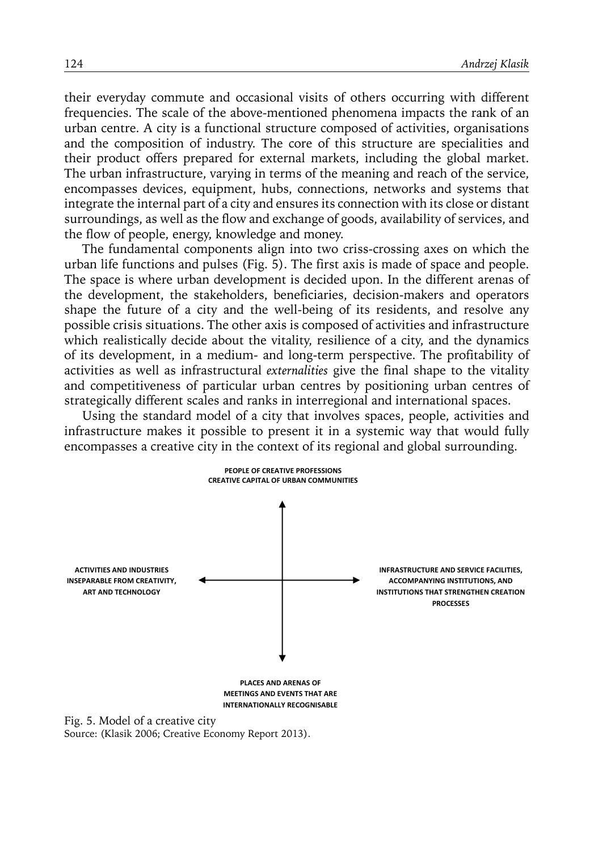their everyday commute and occasional visits of others occurring with different frequencies. The scale of the above-mentioned phenomena impacts the rank of an urban centre. A city is a functional structure composed of activities, organisations and the composition of industry. The core of this structure are specialities and their product offers prepared for external markets, including the global market. The urban infrastructure, varying in terms of the meaning and reach of the service, encompasses devices, equipment, hubs, connections, networks and systems that integrate the internal part of a city and ensures its connection with its close or distant surroundings, as well as the flow and exchange of goods, availability of services, and the flow of people, energy, knowledge and money.

The fundamental components align into two criss-crossing axes on which the urban life functions and pulses (Fig. 5). The first axis is made of space and people. The space is where urban development is decided upon. In the different arenas of the development, the stakeholders, beneficiaries, decision-makers and operators shape the future of a city and the well-being of its residents, and resolve any possible crisis situations. The other axis is composed of activities and infrastructure which realistically decide about the vitality, resilience of a city, and the dynamics of its development, in a medium- and long-term perspective. The profitability of activities as well as infrastructural *externalities* give the final shape to the vitality and competitiveness of particular urban centres by positioning urban centres of strategically different scales and ranks in interregional and international spaces.

Using the standard model of a city that involves spaces, people, activities and infrastructure makes it possible to present it in a systemic way that would fully encompasses a creative city in the context of its regional and global surrounding.



Source: (Klasik 2006; Creative Economy Report 2013).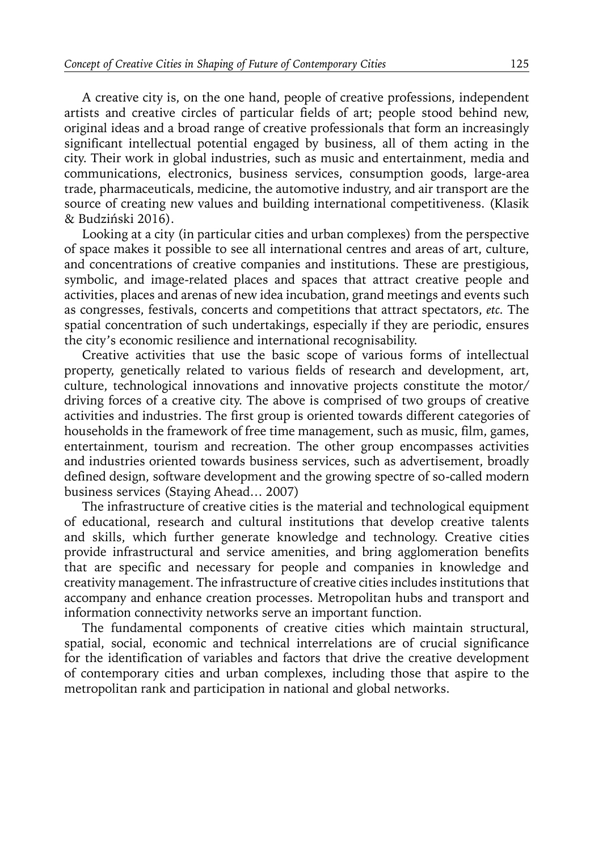A creative city is, on the one hand, people of creative professions, independent artists and creative circles of particular fields of art; people stood behind new, original ideas and a broad range of creative professionals that form an increasingly significant intellectual potential engaged by business, all of them acting in the city. Their work in global industries, such as music and entertainment, media and communications, electronics, business services, consumption goods, large-area trade, pharmaceuticals, medicine, the automotive industry, and air transport are the source of creating new values and building international competitiveness. (Klasik & Budziński 2016).

Looking at a city (in particular cities and urban complexes) from the perspective of space makes it possible to see all international centres and areas of art, culture, and concentrations of creative companies and institutions. These are prestigious, symbolic, and image-related places and spaces that attract creative people and activities, places and arenas of new idea incubation, grand meetings and events such as congresses, festivals, concerts and competitions that attract spectators, *etc.* The spatial concentration of such undertakings, especially if they are periodic, ensures the city's economic resilience and international recognisability.

Creative activities that use the basic scope of various forms of intellectual property, genetically related to various fields of research and development, art, culture, technological innovations and innovative projects constitute the motor/ driving forces of a creative city. The above is comprised of two groups of creative activities and industries. The first group is oriented towards different categories of households in the framework of free time management, such as music, film, games, entertainment, tourism and recreation. The other group encompasses activities and industries oriented towards business services, such as advertisement, broadly defined design, software development and the growing spectre of so-called modern business services (Staying Ahead… 2007)

The infrastructure of creative cities is the material and technological equipment of educational, research and cultural institutions that develop creative talents and skills, which further generate knowledge and technology. Creative cities provide infrastructural and service amenities, and bring agglomeration benefits that are specific and necessary for people and companies in knowledge and creativity management. The infrastructure of creative cities includes institutions that accompany and enhance creation processes. Metropolitan hubs and transport and information connectivity networks serve an important function.

The fundamental components of creative cities which maintain structural, spatial, social, economic and technical interrelations are of crucial significance for the identification of variables and factors that drive the creative development of contemporary cities and urban complexes, including those that aspire to the metropolitan rank and participation in national and global networks.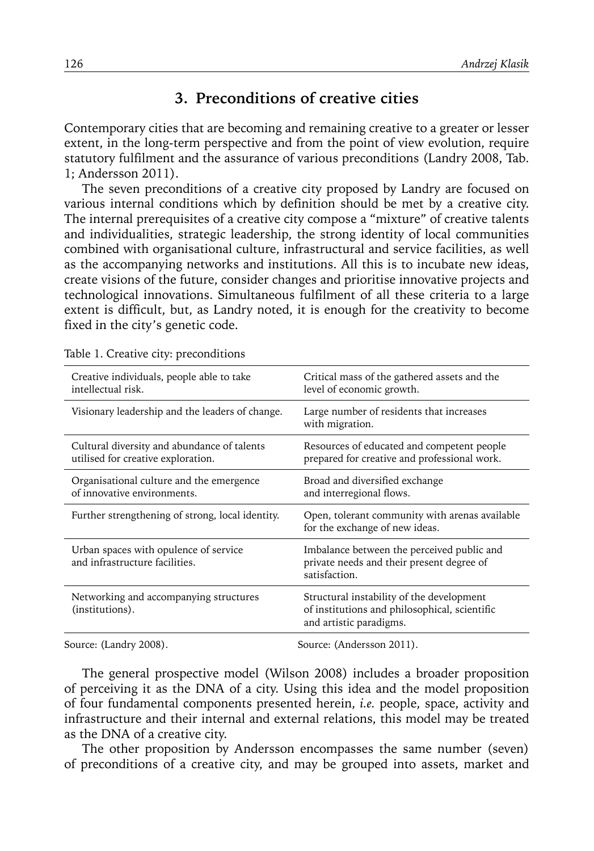#### **3. Preconditions of creative cities**

Contemporary cities that are becoming and remaining creative to a greater or lesser extent, in the long-term perspective and from the point of view evolution, require statutory fulfilment and the assurance of various preconditions (Landry 2008, Tab. 1; Andersson 2011).

The seven preconditions of a creative city proposed by Landry are focused on various internal conditions which by definition should be met by a creative city. The internal prerequisites of a creative city compose a "mixture" of creative talents and individualities, strategic leadership, the strong identity of local communities combined with organisational culture, infrastructural and service facilities, as well as the accompanying networks and institutions. All this is to incubate new ideas, create visions of the future, consider changes and prioritise innovative projects and technological innovations. Simultaneous fulfilment of all these criteria to a large extent is difficult, but, as Landry noted, it is enough for the creativity to become fixed in the city's genetic code.

| Creative individuals, people able to take<br>intellectual risk.                   | Critical mass of the gathered assets and the<br>level of economic growth.                                             |
|-----------------------------------------------------------------------------------|-----------------------------------------------------------------------------------------------------------------------|
| Visionary leadership and the leaders of change.                                   | Large number of residents that increases<br>with migration.                                                           |
| Cultural diversity and abundance of talents<br>utilised for creative exploration. | Resources of educated and competent people<br>prepared for creative and professional work.                            |
| Organisational culture and the emergence<br>of innovative environments.           | Broad and diversified exchange<br>and interregional flows.                                                            |
| Further strengthening of strong, local identity.                                  | Open, tolerant community with arenas available<br>for the exchange of new ideas.                                      |
| Urban spaces with opulence of service<br>and infrastructure facilities.           | Imbalance between the perceived public and<br>private needs and their present degree of<br>satisfaction.              |
| Networking and accompanying structures<br>(institutions).                         | Structural instability of the development<br>of institutions and philosophical, scientific<br>and artistic paradigms. |
|                                                                                   |                                                                                                                       |

Table 1. Creative city: preconditions

Source: (Landry 2008). Source: (Andersson 2011).

The general prospective model (Wilson 2008) includes a broader proposition of perceiving it as the DNA of a city. Using this idea and the model proposition of four fundamental components presented herein, *i.e.* people, space, activity and infrastructure and their internal and external relations, this model may be treated as the DNA of a creative city.

The other proposition by Andersson encompasses the same number (seven) of preconditions of a creative city, and may be grouped into assets, market and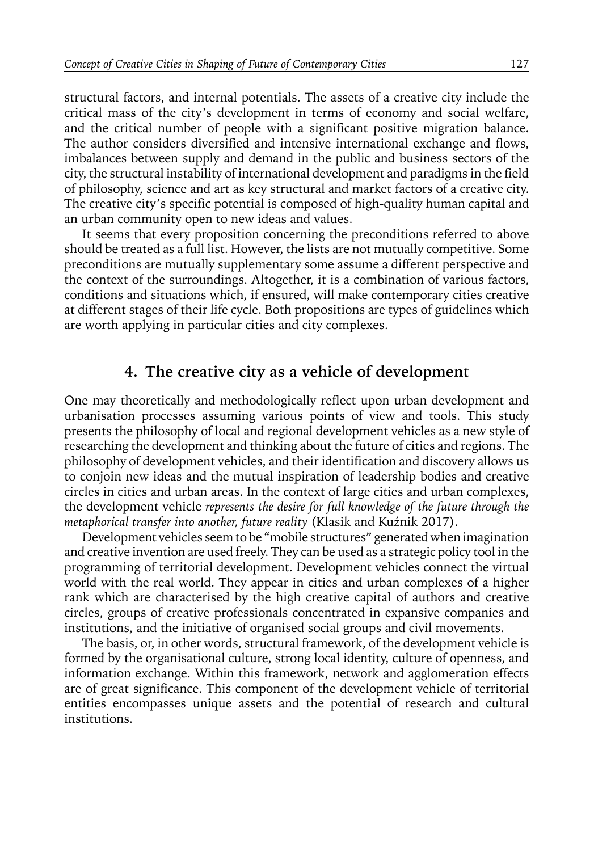structural factors, and internal potentials. The assets of a creative city include the critical mass of the city's development in terms of economy and social welfare, and the critical number of people with a significant positive migration balance. The author considers diversified and intensive international exchange and flows, imbalances between supply and demand in the public and business sectors of the city, the structural instability of international development and paradigms in the field of philosophy, science and art as key structural and market factors of a creative city. The creative city's specific potential is composed of high-quality human capital and an urban community open to new ideas and values.

It seems that every proposition concerning the preconditions referred to above should be treated as a full list. However, the lists are not mutually competitive. Some preconditions are mutually supplementary some assume a different perspective and the context of the surroundings. Altogether, it is a combination of various factors, conditions and situations which, if ensured, will make contemporary cities creative at different stages of their life cycle. Both propositions are types of guidelines which are worth applying in particular cities and city complexes.

#### **4. The creative city as a vehicle of development**

One may theoretically and methodologically reflect upon urban development and urbanisation processes assuming various points of view and tools. This study presents the philosophy of local and regional development vehicles as a new style of researching the development and thinking about the future of cities and regions. The philosophy of development vehicles, and their identification and discovery allows us to conjoin new ideas and the mutual inspiration of leadership bodies and creative circles in cities and urban areas. In the context of large cities and urban complexes, the development vehicle *represents the desire for full knowledge of the future through the metaphorical transfer into another, future reality* (Klasik and Kuźnik 2017).

Development vehicles seem to be "mobile structures" generated when imagination and creative invention are used freely. They can be used as a strategic policy tool in the programming of territorial development. Development vehicles connect the virtual world with the real world. They appear in cities and urban complexes of a higher rank which are characterised by the high creative capital of authors and creative circles, groups of creative professionals concentrated in expansive companies and institutions, and the initiative of organised social groups and civil movements.

The basis, or, in other words, structural framework, of the development vehicle is formed by the organisational culture, strong local identity, culture of openness, and information exchange. Within this framework, network and agglomeration effects are of great significance. This component of the development vehicle of territorial entities encompasses unique assets and the potential of research and cultural institutions.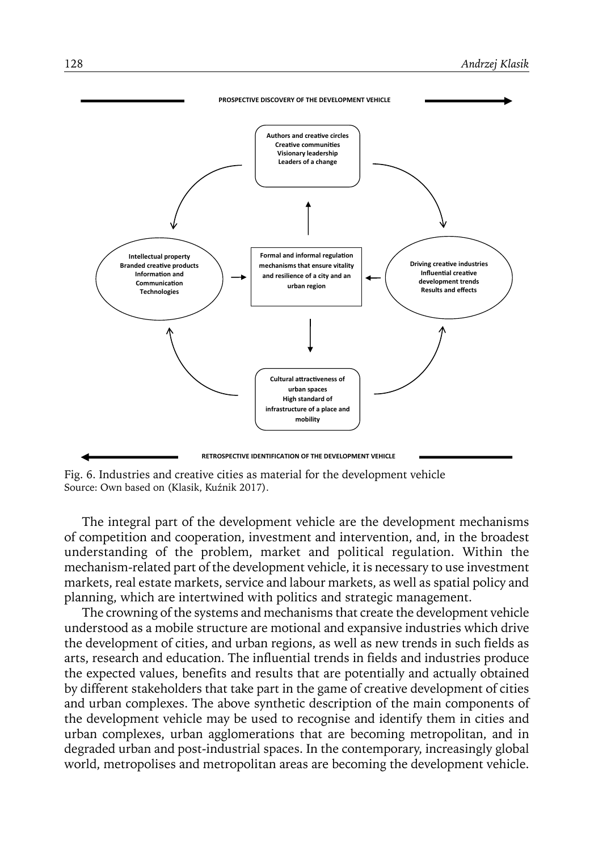

Fig. 6. Industries and creative cities as material for the development vehicle Source: Own based on (Klasik, Kuźnik 2017).

The integral part of the development vehicle are the development mechanisms of competition and cooperation, investment and intervention, and, in the broadest understanding of the problem, market and political regulation. Within the mechanism-related part of the development vehicle, it is necessary to use investment markets, real estate markets, service and labour markets, as well as spatial policy and planning, which are intertwined with politics and strategic management.

The crowning of the systems and mechanisms that create the development vehicle understood as a mobile structure are motional and expansive industries which drive the development of cities, and urban regions, as well as new trends in such fields as arts, research and education. The influential trends in fields and industries produce the expected values, benefits and results that are potentially and actually obtained by different stakeholders that take part in the game of creative development of cities and urban complexes. The above synthetic description of the main components of the development vehicle may be used to recognise and identify them in cities and urban complexes, urban agglomerations that are becoming metropolitan, and in degraded urban and post-industrial spaces. In the contemporary, increasingly global world, metropolises and metropolitan areas are becoming the development vehicle.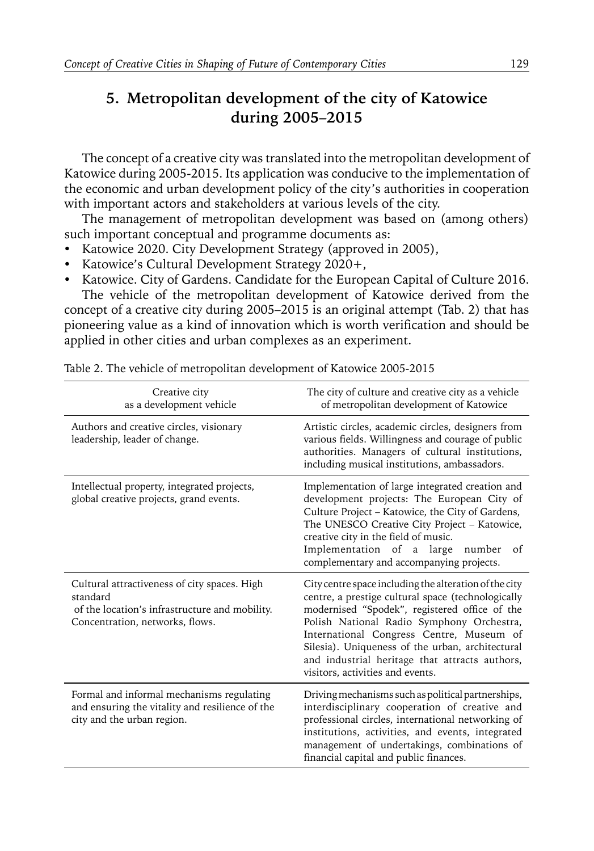### **5. Metropolitan development of the city of Katowice during 2005–2015**

The concept of a creative city was translated into the metropolitan development of Katowice during 2005-2015. Its application was conducive to the implementation of the economic and urban development policy of the city's authorities in cooperation with important actors and stakeholders at various levels of the city.

The management of metropolitan development was based on (among others) such important conceptual and programme documents as:

- Katowice 2020. City Development Strategy (approved in 2005),
- Katowice's Cultural Development Strategy 2020+,
- Katowice. City of Gardens. Candidate for the European Capital of Culture 2016.

The vehicle of the metropolitan development of Katowice derived from the concept of a creative city during 2005–2015 is an original attempt (Tab. 2) that has pioneering value as a kind of innovation which is worth verification and should be applied in other cities and urban complexes as an experiment.

| Creative city<br>as a development vehicle                                                                                                     | The city of culture and creative city as a vehicle<br>of metropolitan development of Katowice                                                                                                                                                                                                                                                                                                    |
|-----------------------------------------------------------------------------------------------------------------------------------------------|--------------------------------------------------------------------------------------------------------------------------------------------------------------------------------------------------------------------------------------------------------------------------------------------------------------------------------------------------------------------------------------------------|
| Authors and creative circles, visionary<br>leadership, leader of change.                                                                      | Artistic circles, academic circles, designers from<br>various fields. Willingness and courage of public<br>authorities. Managers of cultural institutions,<br>including musical institutions, ambassadors.                                                                                                                                                                                       |
| Intellectual property, integrated projects,<br>global creative projects, grand events.                                                        | Implementation of large integrated creation and<br>development projects: The European City of<br>Culture Project - Katowice, the City of Gardens,<br>The UNESCO Creative City Project - Katowice,<br>creative city in the field of music.<br>Implementation of a large<br>number<br>of<br>complementary and accompanying projects.                                                               |
| Cultural attractiveness of city spaces. High<br>standard<br>of the location's infrastructure and mobility.<br>Concentration, networks, flows. | City centre space including the alteration of the city<br>centre, a prestige cultural space (technologically<br>modernised "Spodek", registered office of the<br>Polish National Radio Symphony Orchestra,<br>International Congress Centre, Museum of<br>Silesia). Uniqueness of the urban, architectural<br>and industrial heritage that attracts authors,<br>visitors, activities and events. |
| Formal and informal mechanisms regulating<br>and ensuring the vitality and resilience of the<br>city and the urban region.                    | Driving mechanisms such as political partnerships,<br>interdisciplinary cooperation of creative and<br>professional circles, international networking of<br>institutions, activities, and events, integrated<br>management of undertakings, combinations of<br>financial capital and public finances.                                                                                            |

Table 2. The vehicle of metropolitan development of Katowice 2005-2015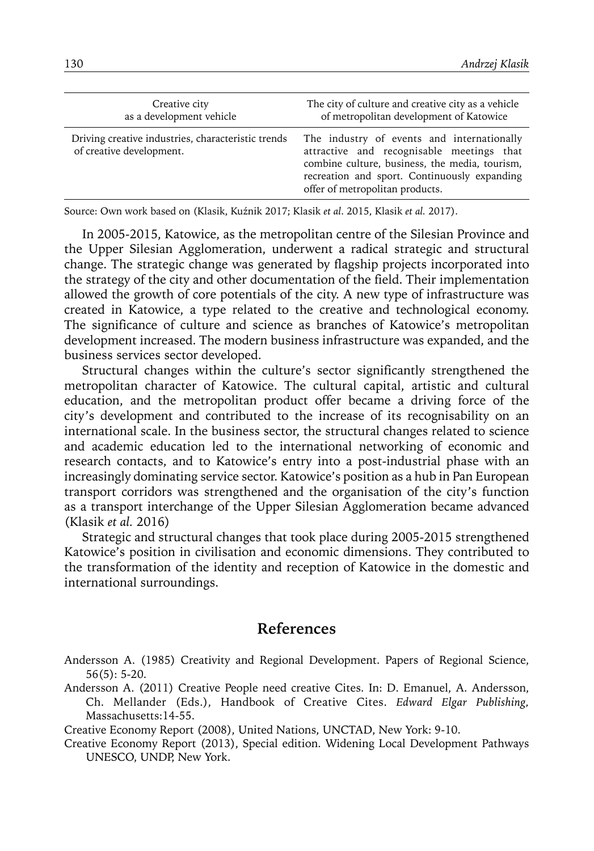| Creative city<br>as a development vehicle                                      | The city of culture and creative city as a vehicle<br>of metropolitan development of Katowice                                                                                                                                |
|--------------------------------------------------------------------------------|------------------------------------------------------------------------------------------------------------------------------------------------------------------------------------------------------------------------------|
| Driving creative industries, characteristic trends<br>of creative development. | The industry of events and internationally<br>attractive and recognisable meetings that<br>combine culture, business, the media, tourism,<br>recreation and sport. Continuously expanding<br>offer of metropolitan products. |

Source: Own work based on (Klasik, Kuźnik 2017; Klasik *et al*. 2015, Klasik *et al.* 2017).

In 2005-2015, Katowice, as the metropolitan centre of the Silesian Province and the Upper Silesian Agglomeration, underwent a radical strategic and structural change. The strategic change was generated by flagship projects incorporated into the strategy of the city and other documentation of the field. Their implementation allowed the growth of core potentials of the city. A new type of infrastructure was created in Katowice, a type related to the creative and technological economy. The significance of culture and science as branches of Katowice's metropolitan development increased. The modern business infrastructure was expanded, and the business services sector developed.

Structural changes within the culture's sector significantly strengthened the metropolitan character of Katowice. The cultural capital, artistic and cultural education, and the metropolitan product offer became a driving force of the city's development and contributed to the increase of its recognisability on an international scale. In the business sector, the structural changes related to science and academic education led to the international networking of economic and research contacts, and to Katowice's entry into a post-industrial phase with an increasingly dominating service sector. Katowice's position as a hub in Pan European transport corridors was strengthened and the organisation of the city's function as a transport interchange of the Upper Silesian Agglomeration became advanced (Klasik *et al.* 2016)

Strategic and structural changes that took place during 2005-2015 strengthened Katowice's position in civilisation and economic dimensions. They contributed to the transformation of the identity and reception of Katowice in the domestic and international surroundings.

#### **References**

Andersson A. (1985) Creativity and Regional Development. Papers of Regional Science, 56(5): 5-20.

Andersson A. (2011) Creative People need creative Cites. In: D. Emanuel, A. Andersson, Ch. Mellander (Eds.), Handbook of Creative Cites. *Edward Elgar Publishing,*  Massachusetts:14-55.

Creative Economy Report (2008), United Nations, UNCTAD, New York: 9-10.

Creative Economy Report (2013), Special edition. Widening Local Development Pathways UNESCO, UNDP, New York.